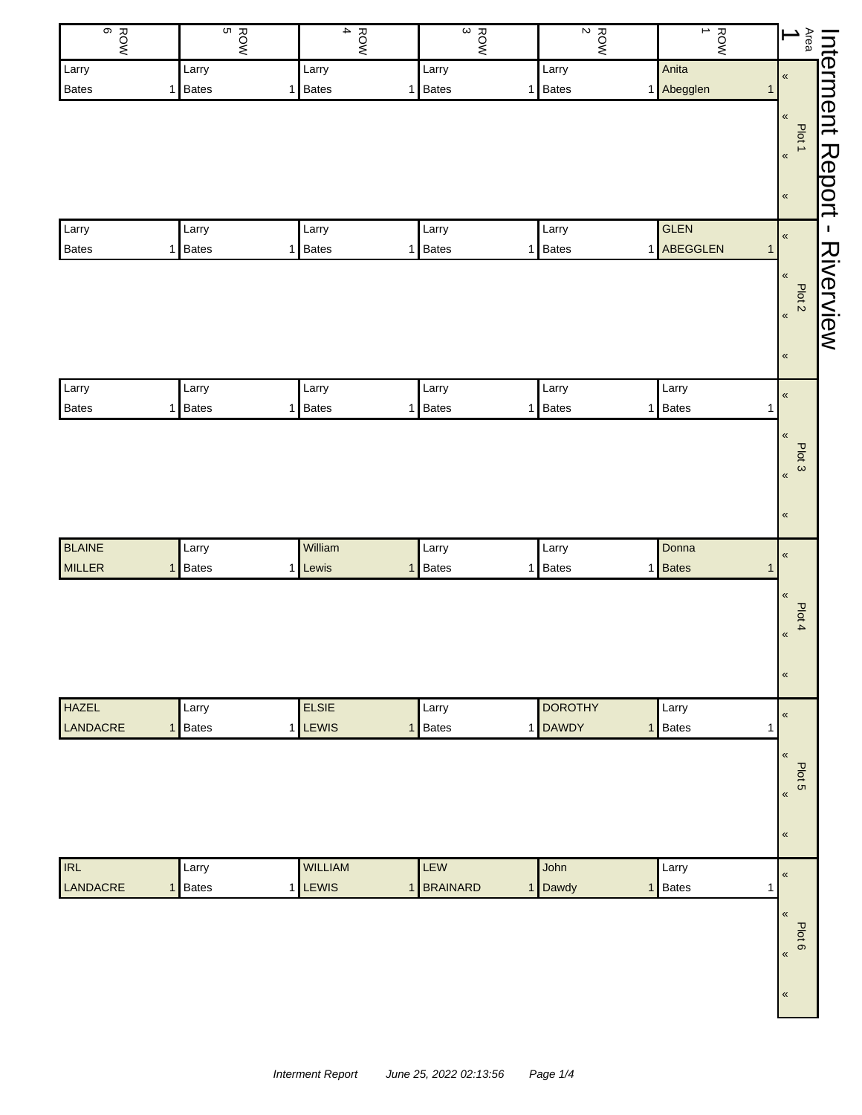| ROW<br>O                       | ROW<br>S                   | ROW<br>$\blacktriangle$ | $\frac{ROW}{3}$            | $\boldsymbol{\kappa}$<br>ROW | $\rightarrow$<br><b>ROW</b>  | Area<br>$\blacktriangle$            |
|--------------------------------|----------------------------|-------------------------|----------------------------|------------------------------|------------------------------|-------------------------------------|
| Larry                          | Larry                      | Larry                   | Larry                      | Larry                        | Anita                        | $\pmb{\mathfrak{C}}$                |
| <b>Bates</b>                   | 1 Bates                    | 1 Bates                 | <b>Bates</b><br>1          | Bates<br>1                   | 1 Abegglen                   | nterment<br>$\mathbf{1}$            |
|                                |                            |                         |                            |                              |                              | $\,\alpha$<br>Plot 1                |
|                                |                            |                         |                            |                              |                              | $\overline{\mathbf{R}}$             |
|                                |                            |                         |                            |                              |                              | Report                              |
|                                |                            |                         |                            |                              |                              | $\pmb{\kappa}$                      |
| Larry                          | Larry                      | Larry                   | Larry                      | Larry                        | <b>GLEN</b>                  | J.<br>$\pmb{\mathfrak{C}}$          |
| <b>Bates</b>                   | 1 Bates                    | 1 Bates                 | <b>Bates</b><br>1          | <b>Bates</b><br>1            | 1 ABEGGLEN                   | $\mathbf{1}$<br>Riverview           |
|                                |                            |                         |                            |                              |                              | $\pmb{\alpha}$                      |
|                                |                            |                         |                            |                              |                              | Plot <sub>2</sub><br>$\pmb{\kappa}$ |
|                                |                            |                         |                            |                              |                              |                                     |
|                                |                            |                         |                            |                              |                              | $\pmb{\kappa}$                      |
| Larry                          | Larry                      | Larry                   | Larry                      | Larry                        | Larry                        | $\pmb{\kappa}$                      |
| <b>Bates</b>                   | 1 Bates                    | 1 Bates                 | <b>Bates</b><br>1          | Bates<br>1                   | 1 Bates                      | $\mathbf{1}$                        |
|                                |                            |                         |                            |                              |                              | $\pmb{\kappa}$                      |
|                                |                            |                         |                            |                              |                              | Plot 3                              |
|                                |                            |                         |                            |                              |                              | $\langle$                           |
|                                |                            |                         |                            |                              |                              | $\pmb{\kappa}$                      |
|                                |                            |                         |                            |                              |                              |                                     |
| <b>BLAINE</b><br><b>MILLER</b> | Larry<br><b>Bates</b><br>1 | William<br>1 Lewis      | Larry<br><b>Bates</b><br>1 | Larry<br>Bates<br>1          | Donna<br>1 Bates             | $\pmb{\kappa}$<br>$\mathbf{1}$      |
|                                |                            |                         |                            |                              |                              |                                     |
|                                |                            |                         |                            |                              |                              | $\pmb{\mathfrak{C}}$<br>Plot 4      |
|                                |                            |                         |                            |                              |                              | $\left\langle \right\rangle$        |
|                                |                            |                         |                            |                              |                              |                                     |
|                                |                            |                         |                            |                              |                              | $\pmb{\kappa}$                      |
| <b>HAZEL</b>                   | Larry                      | <b>ELSIE</b>            | Larry                      | <b>DOROTHY</b>               | Larry                        | $\pmb{\kappa}$                      |
| LANDACRE                       | 1 Bates                    | 1 LEWIS                 | Bates<br>1                 | 1 DAWDY                      | <b>Bates</b><br>$\mathbf{1}$ | $\mathbf{1}$                        |
|                                |                            |                         |                            |                              |                              | $\pmb{\mathfrak{C}}$                |
|                                |                            |                         |                            |                              |                              | Plot 5                              |
|                                |                            |                         |                            |                              |                              | $\pmb{\kappa}$                      |
|                                |                            |                         |                            |                              |                              | $\pmb{\kappa}$                      |
|                                |                            |                         |                            |                              |                              |                                     |
| <b>IRL</b>                     | Larry                      | WILLIAM                 | LEW                        | John                         | Larry                        | $\pmb{\kappa}$                      |
| LANDACRE                       | 1 Bates                    | 1 LEWIS                 | <b>BRAINARD</b><br>1       | Dawdy<br>1                   | Bates<br>1 <sup>1</sup>      | 1                                   |
|                                |                            |                         |                            |                              |                              | $\pmb{\kappa}$                      |
|                                |                            |                         |                            |                              |                              | Plot 6<br>$\langle$                 |
|                                |                            |                         |                            |                              |                              |                                     |
|                                |                            |                         |                            |                              |                              | $\pmb{\mathfrak{C}}$                |
|                                |                            |                         |                            |                              |                              |                                     |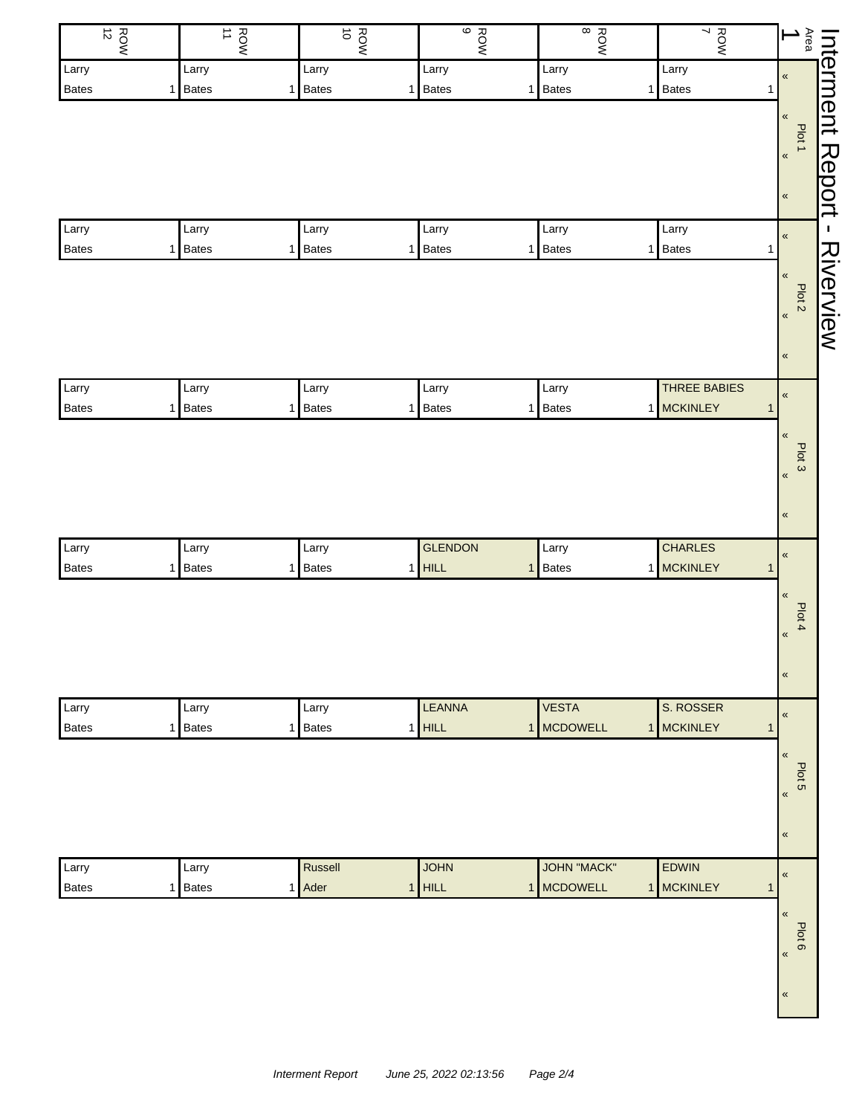| $\frac{ROW}{12}$      | $rac{1}{2}$                | ROW<br>O         | $\frac{1}{9}$     | $^\infty$<br><b>ROW</b>        | ROW<br>7       | Area<br>$\overline{\phantom{0}}$ |
|-----------------------|----------------------------|------------------|-------------------|--------------------------------|----------------|----------------------------------|
| Larry                 | Larry                      | Larry            | Larry             | Larry                          | Larry          | $\pmb{\mathfrak{C}}$             |
| <b>Bates</b>          | 1 Bates                    | 1 Bates          | <b>Bates</b><br>1 | Bates<br>1                     | 1 Bates        | 1                                |
|                       |                            |                  |                   |                                |                | $\pmb{\ll}$                      |
|                       |                            |                  |                   |                                |                | Plot 1                           |
|                       |                            |                  |                   |                                |                | $\pmb{\kappa}$                   |
|                       |                            |                  |                   |                                |                | $\pmb{\kappa}$                   |
|                       |                            |                  |                   |                                |                |                                  |
| Larry                 | Larry                      | Larry            | Larry             | Larry                          | Larry          | $\pmb{\mathfrak{C}}$             |
| <b>Bates</b>          | 1 Bates                    | 1 Bates          | <b>Bates</b><br>1 | Bates<br>1                     | 1 Bates        | 1                                |
|                       |                            |                  |                   |                                |                | $\pmb{\kappa}$                   |
|                       |                            |                  |                   |                                |                | Plot <sub>2</sub>                |
|                       |                            |                  |                   |                                |                | $\pmb{\kappa}$                   |
|                       |                            |                  |                   |                                |                |                                  |
|                       |                            |                  |                   |                                |                | $\pmb{\kappa}$                   |
| Larry                 | Larry                      | Larry            | Larry             | Larry                          | THREE BABIES   | $\pmb{\kappa}$                   |
| <b>Bates</b>          | <b>Bates</b><br>1          | 1 Bates          | <b>Bates</b><br>1 | Bates<br>1                     | 1 MCKINLEY     | $\mathbf{1}$                     |
|                       |                            |                  |                   |                                |                | $\pmb{\alpha}$                   |
|                       |                            |                  |                   |                                |                | Plot 3                           |
|                       |                            |                  |                   |                                |                | $\pmb{\kappa}$                   |
|                       |                            |                  |                   |                                |                |                                  |
|                       |                            |                  |                   |                                |                | $\pmb{\kappa}$                   |
|                       |                            |                  | <b>GLENDON</b>    |                                | <b>CHARLES</b> |                                  |
| Larry<br><b>Bates</b> | Larry<br><b>Bates</b><br>1 | Larry<br>1 Bates | $1$ HILL          | Larry<br>Bates<br>$\mathbf{1}$ | 1 MCKINLEY     | $\pmb{\kappa}$<br>$\mathbf{1}$   |
|                       |                            |                  |                   |                                |                |                                  |
|                       |                            |                  |                   |                                |                | $\pmb{\kappa}$                   |
|                       |                            |                  |                   |                                |                | Plot 4                           |
|                       |                            |                  |                   |                                |                | $\left\langle \right\rangle$     |
|                       |                            |                  |                   |                                |                | $\pmb{\kappa}$                   |
|                       |                            |                  |                   |                                |                |                                  |
| Larry                 | Larry                      | Larry            | <b>LEANNA</b>     | <b>VESTA</b>                   | S. ROSSER      | $\pmb{\kappa}$                   |
| <b>Bates</b>          | 1 Bates                    | 1 Bates          | $1$ HILL          | 1 MCDOWELL                     | 1 MCKINLEY     | $\mathbf{1}$                     |
|                       |                            |                  |                   |                                |                | $\pmb{\mathfrak{C}}$             |
|                       |                            |                  |                   |                                |                | Plot 5                           |
|                       |                            |                  |                   |                                |                | $\pmb{\kappa}$                   |
|                       |                            |                  |                   |                                |                |                                  |
|                       |                            |                  |                   |                                |                | $\pmb{\kappa}$                   |
| Larry                 | Larry                      | Russell          | <b>JOHN</b>       | <b>JOHN "MACK"</b>             | <b>EDWIN</b>   |                                  |
| <b>Bates</b>          | 1 Bates                    | 1 Ader           | $1$ HILL          | 1 MCDOWELL                     | 1 MCKINLEY     | $\pmb{\kappa}$<br>$\mathbf{1}$   |
|                       |                            |                  |                   |                                |                |                                  |
|                       |                            |                  |                   |                                |                | $\pmb{\kappa}$                   |
|                       |                            |                  |                   |                                |                | Plot 6<br>$\langle$              |
|                       |                            |                  |                   |                                |                |                                  |
|                       |                            |                  |                   |                                |                | $\pmb{\mathfrak{C}}$             |
|                       |                            |                  |                   |                                |                |                                  |
|                       |                            |                  |                   |                                |                |                                  |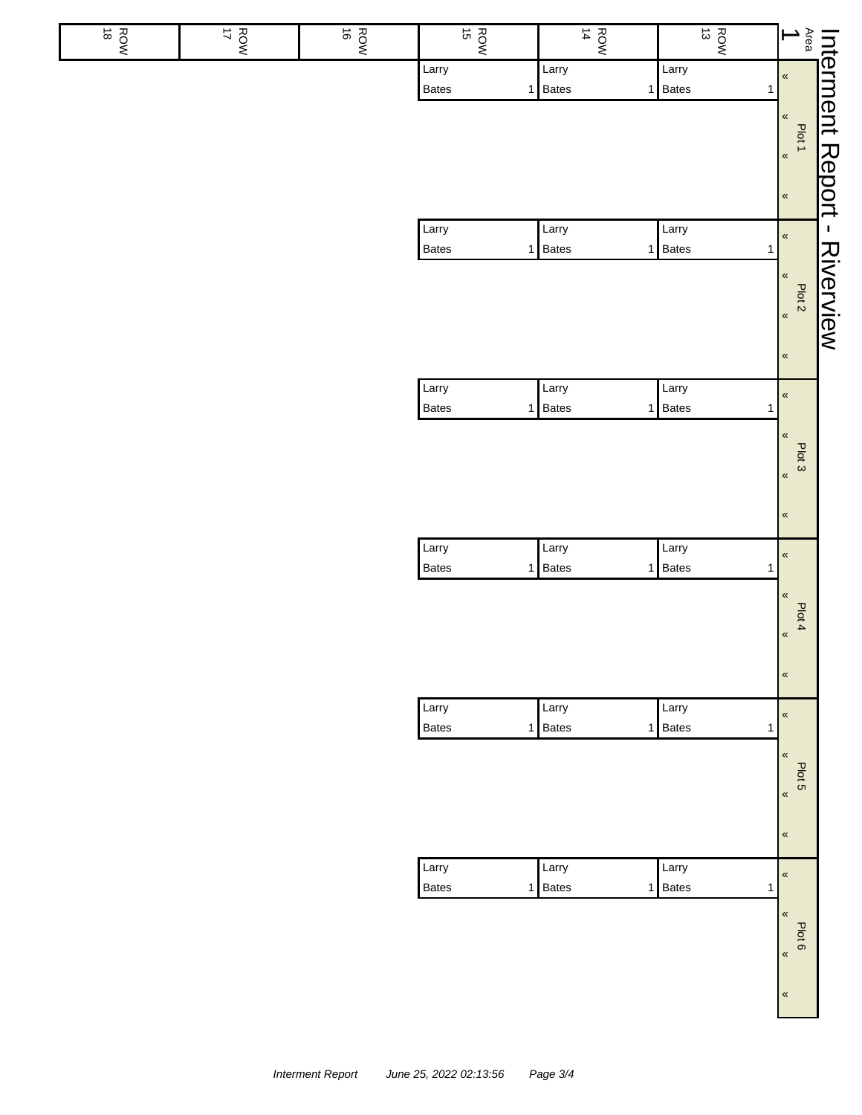| $\frac{R}{8}$ | ROW<br>V | ROW<br>S | ROW<br>15             | $\frac{R}{4}$                  | $\frac{R}{13}$                   | $\frac{1}{\sqrt{2}}$                                  |
|---------------|----------|----------|-----------------------|--------------------------------|----------------------------------|-------------------------------------------------------|
|               |          |          | Larry<br>Bates<br>1   | Larry<br>Bates<br>$\mathbf{1}$ | Larry<br>Bates<br>$\mathbf{1}$   | $\pmb{\kappa}$                                        |
|               |          |          |                       |                                |                                  | $\pmb{\alpha}$<br>Plot 1                              |
|               |          |          |                       |                                |                                  | $\overline{\mathbf{K}}$<br>$\pmb{\kappa}$             |
|               |          |          | Larry<br>Bates<br>1   | Larry<br>Bates                 | Larry<br>1 Bates<br>$\mathbf{1}$ | <b>Interment Report - Riverview</b><br>$\pmb{\kappa}$ |
|               |          |          |                       |                                |                                  | $\pmb{\kappa}$<br>Plot <sub>2</sub>                   |
|               |          |          |                       |                                |                                  |                                                       |
|               |          |          |                       |                                |                                  | $\pmb{\alpha}$                                        |
|               |          |          | Larry<br>Bates<br>1   | Larry<br>Bates<br>$\mathbf{1}$ | Larry<br><b>Bates</b><br>1       | $\pmb{\kappa}$                                        |
|               |          |          |                       |                                |                                  | $\pmb{\kappa}$<br>Plot 3                              |
|               |          |          |                       |                                |                                  | $\pmb{\kappa}$<br>$\,\alpha$                          |
|               |          |          | Larry                 | Larry                          | Larry                            | $\pmb{\kappa}$                                        |
|               |          |          | Bates<br>$\mathbf{1}$ | Bates<br>1                     | <b>Bates</b><br>$\mathbf{1}$     | $\pmb{\ll}$                                           |
|               |          |          |                       |                                |                                  | Plot 4<br>$\pmb{\kappa}$                              |
|               |          |          |                       |                                |                                  | $\pmb{\kappa}$                                        |
|               |          |          | Larry<br>Bates<br>1   | Larry<br>Bates<br>$\mathbf{1}$ | Larry<br>Bates<br>$\mathbf{1}$   | $\pmb{\kappa}$                                        |
|               |          |          |                       |                                |                                  | $\pmb{\kappa}$<br>Plot 5                              |
|               |          |          |                       |                                |                                  | $\pmb{\kappa}$                                        |
|               |          |          |                       |                                |                                  | $\pmb{\kappa}$                                        |
|               |          |          | Larry<br>Bates<br>1   | Larry<br>Bates<br>$\mathbf{1}$ | Larry<br>Bates<br>$\mathbf{1}$   | $\pmb{\kappa}$                                        |
|               |          |          |                       |                                |                                  | $\pmb{\kappa}$<br>Plot 6                              |
|               |          |          |                       |                                |                                  | $\pmb{\kappa}$                                        |
|               |          |          |                       |                                |                                  | $\pmb{\ll}$                                           |